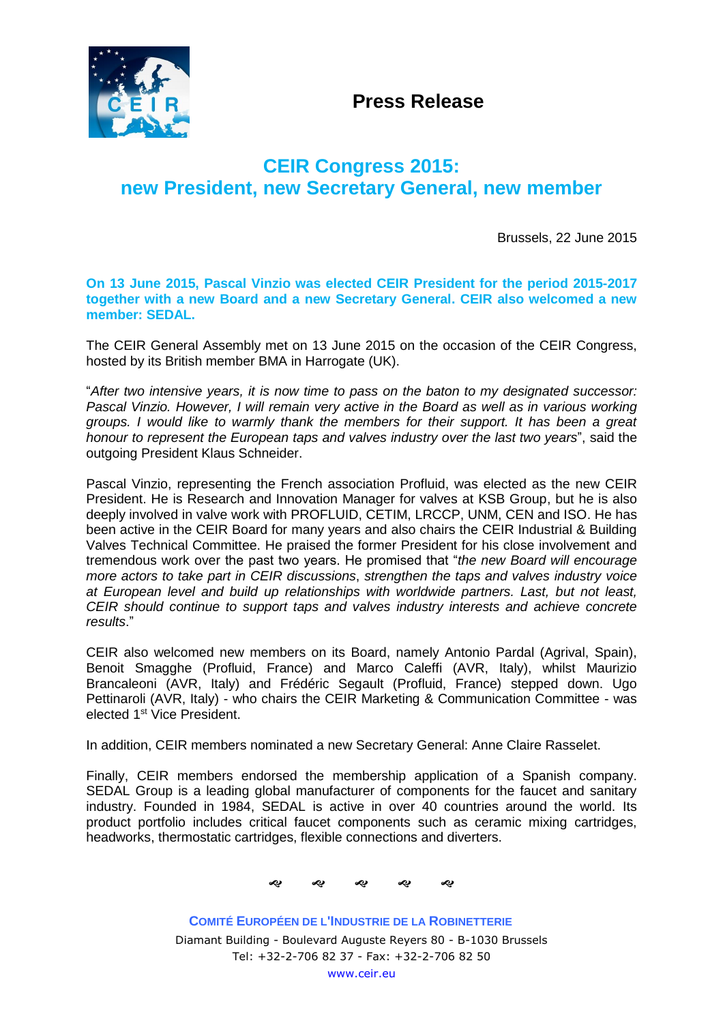

**Press Release**

## **CEIR Congress 2015: new President, new Secretary General, new member**

Brussels, 22 June 2015

**On 13 June 2015, Pascal Vinzio was elected CEIR President for the period 2015-2017 together with a new Board and a new Secretary General. CEIR also welcomed a new member: SEDAL.**

The CEIR General Assembly met on 13 June 2015 on the occasion of the CEIR Congress, hosted by its British member BMA in Harrogate (UK).

"*After two intensive years, it is now time to pass on the baton to my designated successor: Pascal Vinzio. However, I will remain very active in the Board as well as in various working groups. I would like to warmly thank the members for their support. It has been a great honour to represent the European taps and valves industry over the last two years*", said the outgoing President Klaus Schneider.

Pascal Vinzio, representing the French association Profluid, was elected as the new CEIR President. He is Research and Innovation Manager for valves at KSB Group, but he is also deeply involved in valve work with PROFLUID, CETIM, LRCCP, UNM, CEN and ISO. He has been active in the CEIR Board for many years and also chairs the CEIR Industrial & Building Valves Technical Committee. He praised the former President for his close involvement and tremendous work over the past two years. He promised that "*the new Board will encourage more actors to take part in CEIR discussions*, *strengthen the taps and valves industry voice at European level and build up relationships with worldwide partners. Last, but not least, CEIR should continue to support taps and valves industry interests and achieve concrete results*."

CEIR also welcomed new members on its Board, namely Antonio Pardal (Agrival, Spain), Benoit Smagghe (Profluid, France) and Marco Caleffi (AVR, Italy), whilst Maurizio Brancaleoni (AVR, Italy) and Frédéric Segault (Profluid, France) stepped down. Ugo Pettinaroli (AVR, Italy) - who chairs the CEIR Marketing & Communication Committee - was elected 1<sup>st</sup> Vice President.

In addition, CEIR members nominated a new Secretary General: Anne Claire Rasselet.

Finally, CEIR members endorsed the membership application of a Spanish company. SEDAL Group is a leading global manufacturer of components for the faucet and sanitary industry. Founded in 1984, SEDAL is active in over 40 countries around the world. Its product portfolio includes critical faucet components such as ceramic mixing cartridges, headworks, thermostatic cartridges, flexible connections and diverters.



**COMITÉ EUROPÉEN DE L'INDUSTRIE DE LA ROBINETTERIE** Diamant Building - Boulevard Auguste Reyers 80 - B-1030 Brussels Tel: +32-2-706 82 37 - Fax: +32-2-706 82 50 [www.ceir.eu](http://www.ceir.eu/)